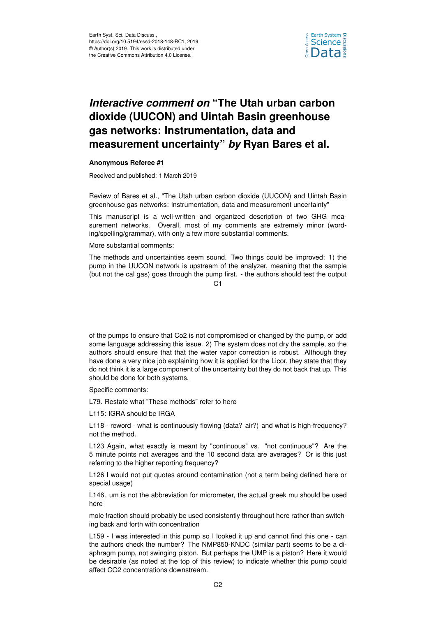

## *Interactive comment on* **"The Utah urban carbon dioxide (UUCON) and Uintah Basin greenhouse gas networks: Instrumentation, data and measurement uncertainty"** *by* **Ryan Bares et al.**

## **Anonymous Referee #1**

Received and published: 1 March 2019

Review of Bares et al., "The Utah urban carbon dioxide (UUCON) and Uintah Basin greenhouse gas networks: Instrumentation, data and measurement uncertainty"

This manuscript is a well-written and organized description of two GHG measurement networks. Overall, most of my comments are extremely minor (wording/spelling/grammar), with only a few more substantial comments.

More substantial comments:

The methods and uncertainties seem sound. Two things could be improved: 1) the pump in the UUCON network is upstream of the analyzer, meaning that the sample (but not the cal gas) goes through the pump first. - the authors should test the output

 $C<sub>1</sub>$ 

of the pumps to ensure that Co2 is not compromised or changed by the pump, or add some language addressing this issue. 2) The system does not dry the sample, so the authors should ensure that that the water vapor correction is robust. Although they have done a very nice job explaining how it is applied for the Licor, they state that they do not think it is a large component of the uncertainty but they do not back that up. This should be done for both systems.

Specific comments:

L79. Restate what "These methods" refer to here

L115: IGRA should be IRGA

L118 - reword - what is continuously flowing (data? air?) and what is high-frequency? not the method.

L123 Again, what exactly is meant by "continuous" vs. "not continuous"? Are the 5 minute points not averages and the 10 second data are averages? Or is this just referring to the higher reporting frequency?

L126 I would not put quotes around contamination (not a term being defined here or special usage)

L146. um is not the abbreviation for micrometer, the actual greek mu should be used here

mole fraction should probably be used consistently throughout here rather than switching back and forth with concentration

L159 - I was interested in this pump so I looked it up and cannot find this one - can the authors check the number? The NMP850-KNDC (similar part) seems to be a diaphragm pump, not swinging piston. But perhaps the UMP is a piston? Here it would be desirable (as noted at the top of this review) to indicate whether this pump could affect CO2 concentrations downstream.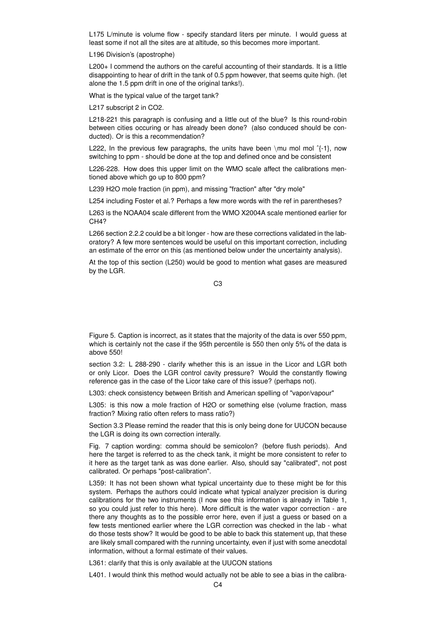L175 L/minute is volume flow - specify standard liters per minute. I would guess at least some if not all the sites are at altitude, so this becomes more important.

L196 Division's (apostrophe)

L200+ I commend the authors on the careful accounting of their standards. It is a little disappointing to hear of drift in the tank of 0.5 ppm however, that seems quite high. (let alone the 1.5 ppm drift in one of the original tanks!).

What is the typical value of the target tank?

L217 subscript 2 in CO2.

L218-221 this paragraph is confusing and a little out of the blue? Is this round-robin between cities occuring or has already been done? (also conduced should be conducted). Or is this a recommendation?

L222, In the previous few paragraphs, the units have been \mu mol mol  $\hat{ }$ {-1}, now switching to ppm - should be done at the top and defined once and be consistent

L226-228. How does this upper limit on the WMO scale affect the calibrations mentioned above which go up to 800 ppm?

L239 H2O mole fraction (in ppm), and missing "fraction" after "dry mole"

L254 including Foster et al.? Perhaps a few more words with the ref in parentheses?

L263 is the NOAA04 scale different from the WMO X2004A scale mentioned earlier for CH<sub>4</sub>?

L266 section 2.2.2 could be a bit longer - how are these corrections validated in the laboratory? A few more sentences would be useful on this important correction, including an estimate of the error on this (as mentioned below under the uncertainty analysis).

At the top of this section (L250) would be good to mention what gases are measured by the LGR.

C3

Figure 5. Caption is incorrect, as it states that the majority of the data is over 550 ppm, which is certainly not the case if the 95th percentile is 550 then only 5% of the data is above 550!

section 3.2: L 288-290 - clarify whether this is an issue in the Licor and LGR both or only Licor. Does the LGR control cavity pressure? Would the constantly flowing reference gas in the case of the Licor take care of this issue? (perhaps not).

L303: check consistency between British and American spelling of "vapor/vapour"

L305: is this now a mole fraction of H2O or something else (volume fraction, mass fraction? Mixing ratio often refers to mass ratio?)

Section 3.3 Please remind the reader that this is only being done for UUCON because the LGR is doing its own correction interally.

Fig. 7 caption wording: comma should be semicolon? (before flush periods). And here the target is referred to as the check tank, it might be more consistent to refer to it here as the target tank as was done earlier. Also, should say "calibrated", not post calibrated. Or perhaps "post-calibration".

L359: It has not been shown what typical uncertainty due to these might be for this system. Perhaps the authors could indicate what typical analyzer precision is during calibrations for the two instruments (I now see this information is already in Table 1, so you could just refer to this here). More difficult is the water vapor correction - are there any thoughts as to the possible error here, even if just a guess or based on a few tests mentioned earlier where the LGR correction was checked in the lab - what do those tests show? It would be good to be able to back this statement up, that these are likely small compared with the running uncertainty, even if just with some anecdotal information, without a formal estimate of their values.

L361: clarify that this is only available at the UUCON stations

L401. I would think this method would actually not be able to see a bias in the calibra-